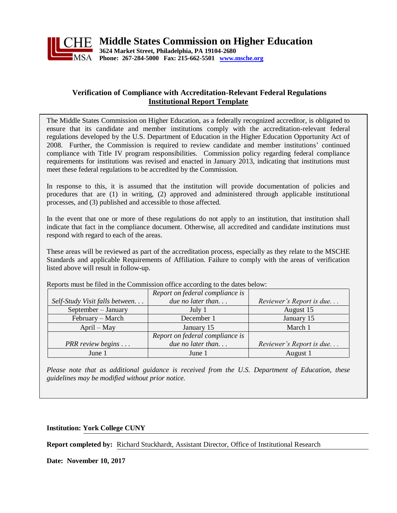

#### **Verification of Compliance with Accreditation-Relevant Federal Regulations Institutional Report Template**

The Middle States Commission on Higher Education, as a federally recognized accreditor, is obligated to ensure that its candidate and member institutions comply with the accreditation-relevant federal regulations developed by the U.S. Department of Education in the Higher Education Opportunity Act of 2008. Further, the Commission is required to review candidate and member institutions' continued compliance with Title IV program responsibilities. Commission policy regarding federal compliance requirements for institutions was revised and enacted in January 2013, indicating that institutions must meet these federal regulations to be accredited by the Commission.

In response to this, it is assumed that the institution will provide documentation of policies and procedures that are (1) in writing, (2) approved and administered through applicable institutional processes, and (3) published and accessible to those affected.

In the event that one or more of these regulations do not apply to an institution, that institution shall indicate that fact in the compliance document. Otherwise, all accredited and candidate institutions must respond with regard to each of the areas.

These areas will be reviewed as part of the accreditation process, especially as they relate to the MSCHE Standards and applicable Requirements of Affiliation. Failure to comply with the areas of verification listed above will result in follow-up.

|                                | Report on federal compliance is |                          |
|--------------------------------|---------------------------------|--------------------------|
| Self-Study Visit falls between | due no later than               | Reviewer's Report is due |
| September - January            | July 1                          | August 15                |
| February – March               | December 1                      | January 15               |
| $April - May$                  | January 15                      | March 1                  |
|                                | Report on federal compliance is |                          |
| PRR review begins              | due no later than               | Reviewer's Report is due |
| June 1                         | June 1                          | August 1                 |

Reports must be filed in the Commission office according to the dates below:

*Please note that as additional guidance is received from the U.S. Department of Education, these guidelines may be modified without prior notice.*

**Institution: York College CUNY**

**Report completed by:** Richard Stuckhardt, Assistant Director, Office of Institutional Research

**Date: November 10, 2017**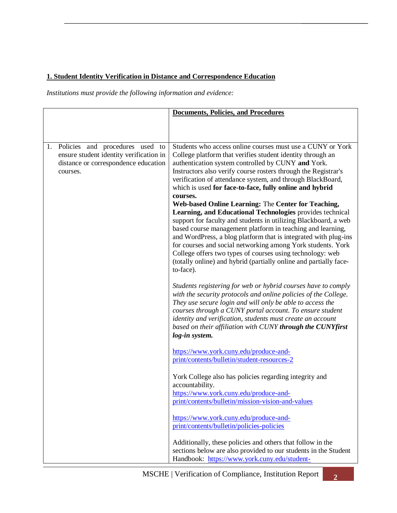## **1. Student Identity Verification in Distance and Correspondence Education**

|                                                                                                                                   | <b>Documents, Policies, and Procedures</b>                                                                                                                                                                                                                                                                                                                                                                                                                                                                                                                                                                                                                                                                                                                                                                                                                                                                                  |
|-----------------------------------------------------------------------------------------------------------------------------------|-----------------------------------------------------------------------------------------------------------------------------------------------------------------------------------------------------------------------------------------------------------------------------------------------------------------------------------------------------------------------------------------------------------------------------------------------------------------------------------------------------------------------------------------------------------------------------------------------------------------------------------------------------------------------------------------------------------------------------------------------------------------------------------------------------------------------------------------------------------------------------------------------------------------------------|
|                                                                                                                                   |                                                                                                                                                                                                                                                                                                                                                                                                                                                                                                                                                                                                                                                                                                                                                                                                                                                                                                                             |
|                                                                                                                                   |                                                                                                                                                                                                                                                                                                                                                                                                                                                                                                                                                                                                                                                                                                                                                                                                                                                                                                                             |
| 1. Policies and procedures used to<br>ensure student identity verification in<br>distance or correspondence education<br>courses. | Students who access online courses must use a CUNY or York<br>College platform that verifies student identity through an<br>authentication system controlled by CUNY and York.<br>Instructors also verify course rosters through the Registrar's<br>verification of attendance system, and through BlackBoard,<br>which is used for face-to-face, fully online and hybrid<br>courses.<br>Web-based Online Learning: The Center for Teaching,<br>Learning, and Educational Technologies provides technical<br>support for faculty and students in utilizing Blackboard, a web<br>based course management platform in teaching and learning,<br>and WordPress, a blog platform that is integrated with plug-ins<br>for courses and social networking among York students. York<br>College offers two types of courses using technology: web<br>(totally online) and hybrid (partially online and partially face-<br>to-face). |
|                                                                                                                                   | Students registering for web or hybrid courses have to comply<br>with the security protocols and online policies of the College.<br>They use secure login and will only be able to access the<br>courses through a CUNY portal account. To ensure student<br>identity and verification, students must create an account<br>based on their affiliation with CUNY through the CUNYfirst<br>log-in system.                                                                                                                                                                                                                                                                                                                                                                                                                                                                                                                     |
|                                                                                                                                   | https://www.york.cuny.edu/produce-and-<br>print/contents/bulletin/student-resources-2                                                                                                                                                                                                                                                                                                                                                                                                                                                                                                                                                                                                                                                                                                                                                                                                                                       |
|                                                                                                                                   | York College also has policies regarding integrity and<br>accountability.<br>https://www.york.cuny.edu/produce-and-<br>print/contents/bulletin/mission-vision-and-values                                                                                                                                                                                                                                                                                                                                                                                                                                                                                                                                                                                                                                                                                                                                                    |
|                                                                                                                                   | https://www.york.cuny.edu/produce-and-<br>print/contents/bulletin/policies-policies                                                                                                                                                                                                                                                                                                                                                                                                                                                                                                                                                                                                                                                                                                                                                                                                                                         |
|                                                                                                                                   | Additionally, these policies and others that follow in the<br>sections below are also provided to our students in the Student<br>Handbook: https://www.york.cuny.edu/student-                                                                                                                                                                                                                                                                                                                                                                                                                                                                                                                                                                                                                                                                                                                                               |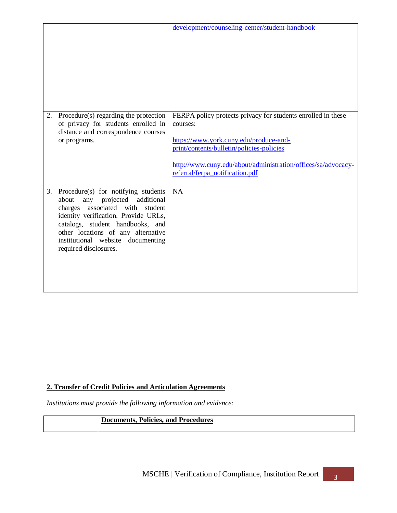|    |                                                                                                                                                                                                                                                                                                | development/counseling-center/student-handbook                                                                                                                                                                                                                      |
|----|------------------------------------------------------------------------------------------------------------------------------------------------------------------------------------------------------------------------------------------------------------------------------------------------|---------------------------------------------------------------------------------------------------------------------------------------------------------------------------------------------------------------------------------------------------------------------|
| 2. | Procedure(s) regarding the protection<br>of privacy for students enrolled in<br>distance and correspondence courses<br>or programs.                                                                                                                                                            | FERPA policy protects privacy for students enrolled in these<br>courses:<br>https://www.york.cuny.edu/produce-and-<br>print/contents/bulletin/policies-policies<br>http://www.cuny.edu/about/administration/offices/sa/advocacy-<br>referral/ferpa_notification.pdf |
| 3. | Procedure(s) for notifying students<br>about<br>projected additional<br>any<br>charges associated with student<br>identity verification. Provide URLs,<br>catalogs, student handbooks, and<br>other locations of any alternative<br>institutional website documenting<br>required disclosures. | <b>NA</b>                                                                                                                                                                                                                                                           |

#### **2. Transfer of Credit Policies and Articulation Agreements**

| <b>Documents, Policies, and Procedures</b> |
|--------------------------------------------|
|                                            |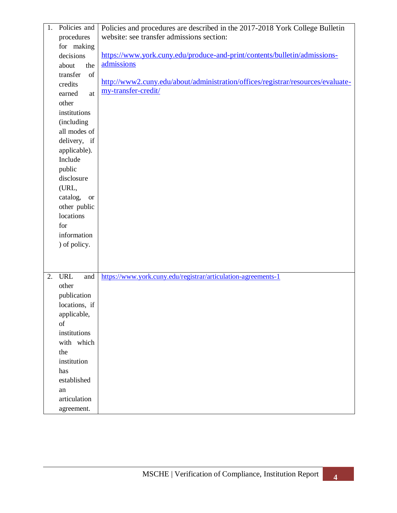| Policies and<br>1.      | Policies and procedures are described in the 2017-2018 York College Bulletin    |
|-------------------------|---------------------------------------------------------------------------------|
| procedures              | website: see transfer admissions section:                                       |
| for making              |                                                                                 |
| decisions               | https://www.york.cuny.edu/produce-and-print/contents/bulletin/admissions-       |
| about<br>the            | admissions                                                                      |
| transfer<br>of          |                                                                                 |
| credits                 | http://www2.cuny.edu/about/administration/offices/registrar/resources/evaluate- |
| earned<br>at            | my-transfer-credit/                                                             |
| other                   |                                                                                 |
| institutions            |                                                                                 |
| (including              |                                                                                 |
| all modes of            |                                                                                 |
| delivery, if            |                                                                                 |
| applicable).            |                                                                                 |
| Include                 |                                                                                 |
| public                  |                                                                                 |
| disclosure              |                                                                                 |
| (URL,                   |                                                                                 |
| catalog,<br><b>or</b>   |                                                                                 |
| other public            |                                                                                 |
| locations               |                                                                                 |
| for                     |                                                                                 |
| information             |                                                                                 |
| ) of policy.            |                                                                                 |
|                         |                                                                                 |
|                         |                                                                                 |
|                         |                                                                                 |
| <b>URL</b><br>and<br>2. | https://www.york.cuny.edu/registrar/articulation-agreements-1                   |
| other                   |                                                                                 |
| publication             |                                                                                 |
| locations, if           |                                                                                 |
| applicable,             |                                                                                 |
| of                      |                                                                                 |
| institutions            |                                                                                 |
| with which              |                                                                                 |
| the                     |                                                                                 |
| institution             |                                                                                 |
| has                     |                                                                                 |
| established             |                                                                                 |
| an                      |                                                                                 |
| articulation            |                                                                                 |
| agreement.              |                                                                                 |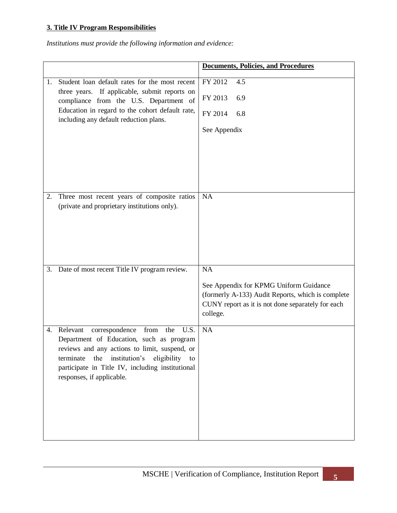### **3. Title IV Program Responsibilities**

|    |                                                                                                                                                                                                                                                                                           | <b>Documents, Policies, and Procedures</b>                                                                                                                         |
|----|-------------------------------------------------------------------------------------------------------------------------------------------------------------------------------------------------------------------------------------------------------------------------------------------|--------------------------------------------------------------------------------------------------------------------------------------------------------------------|
| 1. | Student loan default rates for the most recent<br>three years. If applicable, submit reports on<br>compliance from the U.S. Department of<br>Education in regard to the cohort default rate,<br>including any default reduction plans.                                                    | FY 2012<br>4.5<br>FY 2013<br>6.9<br>FY 2014<br>6.8<br>See Appendix                                                                                                 |
| 2. | Three most recent years of composite ratios<br>(private and proprietary institutions only).                                                                                                                                                                                               | NA                                                                                                                                                                 |
| 3. | Date of most recent Title IV program review.                                                                                                                                                                                                                                              | NA<br>See Appendix for KPMG Uniform Guidance<br>(formerly A-133) Audit Reports, which is complete<br>CUNY report as it is not done separately for each<br>college. |
| 4. | Relevant<br>correspondence<br>from<br>the<br>U.S.<br>Department of Education, such as program<br>reviews and any actions to limit, suspend, or<br>institution's<br>eligibility<br>the<br>terminate<br>to<br>participate in Title IV, including institutional<br>responses, if applicable. | NA                                                                                                                                                                 |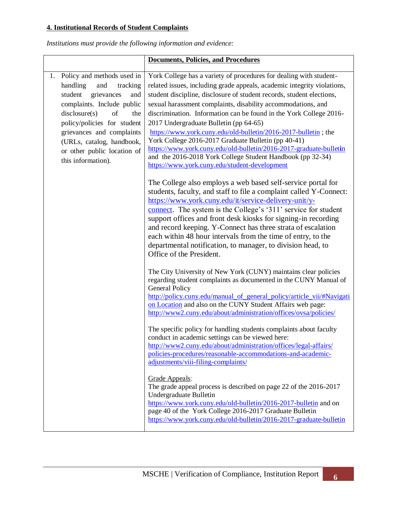### **4. Institutional Records of Student Complaints**

|    |                                                                                                                                                                                                                                                                                                     | <b>Documents, Policies, and Procedures</b>                                                                                                                                                                                                                                                                                                                                                                                                                                                                                                                                                                                                                                                                            |
|----|-----------------------------------------------------------------------------------------------------------------------------------------------------------------------------------------------------------------------------------------------------------------------------------------------------|-----------------------------------------------------------------------------------------------------------------------------------------------------------------------------------------------------------------------------------------------------------------------------------------------------------------------------------------------------------------------------------------------------------------------------------------------------------------------------------------------------------------------------------------------------------------------------------------------------------------------------------------------------------------------------------------------------------------------|
| 1. | Policy and methods used in<br>handling<br>and<br>tracking<br>student<br>grievances<br>and<br>complaints. Include public<br>disclosure(s)<br>of<br>the<br>policy/policies for student<br>grievances and complaints<br>(URLs, catalog, handbook,<br>or other public location of<br>this information). | York College has a variety of procedures for dealing with student-<br>related issues, including grade appeals, academic integrity violations,<br>student discipline, disclosure of student records, student elections,<br>sexual harassment complaints, disability accommodations, and<br>discrimination. Information can be found in the York College 2016-<br>2017 Undergraduate Bulletin (pp 64-65)<br>https://www.york.cuny.edu/old-bulletin/2016-2017-bulletin ; the<br>York College 2016-2017 Graduate Bulletin (pp 40-41)<br>https://www.york.cuny.edu/old-bulletin/2016-2017-graduate-bulletin<br>and the 2016-2018 York College Student Handbook (pp 32-34)<br>https://www.york.cuny.edu/student-development |
|    |                                                                                                                                                                                                                                                                                                     | The College also employs a web based self-service portal for<br>students, faculty, and staff to file a complaint called Y-Connect:<br>https://www.york.cuny.edu/it/service-delivery-unit/y-<br>connect. The system is the College's '311' service for student<br>support offices and front desk kiosks for signing-in recording<br>and record keeping. Y-Connect has three strata of escalation<br>each within 48 hour intervals from the time of entry, to the<br>departmental notification, to manager, to division head, to<br>Office of the President.                                                                                                                                                            |
|    |                                                                                                                                                                                                                                                                                                     | The City University of New York (CUNY) maintains clear policies<br>regarding student complaints as documented in the CUNY Manual of<br><b>General Policy</b><br>http://policy.cuny.edu/manual_of_general_policy/article_vii/#Navigati<br>on Location and also on the CUNY Student Affairs web page:<br>http://www2.cuny.edu/about/administration/offices/ovsa/policies/                                                                                                                                                                                                                                                                                                                                               |
|    |                                                                                                                                                                                                                                                                                                     | The specific policy for handling students complaints about faculty<br>conduct in academic settings can be viewed here:<br>http://www2.cuny.edu/about/administration/offices/legal-affairs/<br>policies-procedures/reasonable-accommodations-and-academic-<br>adjustments/viii-filing-complaints/                                                                                                                                                                                                                                                                                                                                                                                                                      |
|    |                                                                                                                                                                                                                                                                                                     | Grade Appeals:<br>The grade appeal process is described on page 22 of the 2016-2017<br>Undergraduate Bulletin<br>https://www.york.cuny.edu/old-bulletin/2016-2017-bulletin and on<br>page 40 of the York College 2016-2017 Graduate Bulletin<br>https://www.york.cuny.edu/old-bulletin/2016-2017-graduate-bulletin                                                                                                                                                                                                                                                                                                                                                                                                    |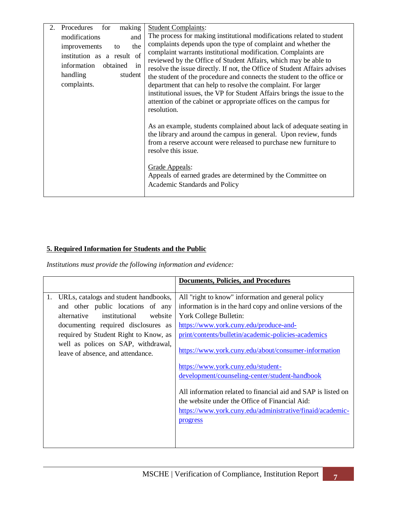| making<br>Procedures<br>for<br>2. | <b>Student Complaints:</b>                                                                                                                                                                                                           |
|-----------------------------------|--------------------------------------------------------------------------------------------------------------------------------------------------------------------------------------------------------------------------------------|
| modifications<br>and              | The process for making institutional modifications related to student                                                                                                                                                                |
| the<br>improvements<br>to         | complaints depends upon the type of complaint and whether the                                                                                                                                                                        |
| institution as a result of        | complaint warrants institutional modification. Complaints are                                                                                                                                                                        |
| in<br>information<br>obtained     | reviewed by the Office of Student Affairs, which may be able to                                                                                                                                                                      |
|                                   | resolve the issue directly. If not, the Office of Student Affairs advises                                                                                                                                                            |
| handling<br>student               | the student of the procedure and connects the student to the office or                                                                                                                                                               |
| complaints.                       | department that can help to resolve the complaint. For larger                                                                                                                                                                        |
|                                   | institutional issues, the VP for Student Affairs brings the issue to the                                                                                                                                                             |
|                                   | attention of the cabinet or appropriate offices on the campus for                                                                                                                                                                    |
|                                   | resolution.                                                                                                                                                                                                                          |
|                                   | As an example, students complained about lack of adequate seating in<br>the library and around the campus in general. Upon review, funds<br>from a reserve account were released to purchase new furniture to<br>resolve this issue. |
|                                   | Grade Appeals:<br>Appeals of earned grades are determined by the Committee on<br>Academic Standards and Policy                                                                                                                       |

## **5. Required Information for Students and the Public**

|                                                                          | <b>Documents, Policies, and Procedures</b>                                                                                                                                               |
|--------------------------------------------------------------------------|------------------------------------------------------------------------------------------------------------------------------------------------------------------------------------------|
| URLs, catalogs and student handbooks,<br>1.                              | All "right to know" information and general policy                                                                                                                                       |
| and other public locations of any                                        | information is in the hard copy and online versions of the                                                                                                                               |
| alternative<br>institutional<br>website                                  | York College Bulletin:                                                                                                                                                                   |
| documenting required disclosures as                                      | https://www.york.cuny.edu/produce-and-                                                                                                                                                   |
| required by Student Right to Know, as                                    | print/contents/bulletin/academic-policies-academics                                                                                                                                      |
| well as polices on SAP, withdrawal,<br>leave of absence, and attendance. | https://www.york.cuny.edu/about/consumer-information                                                                                                                                     |
|                                                                          | https://www.york.cuny.edu/student-                                                                                                                                                       |
|                                                                          | development/counseling-center/student-handbook                                                                                                                                           |
|                                                                          | All information related to financial aid and SAP is listed on<br>the website under the Office of Financial Aid:<br>https://www.york.cuny.edu/administrative/finaid/academic-<br>progress |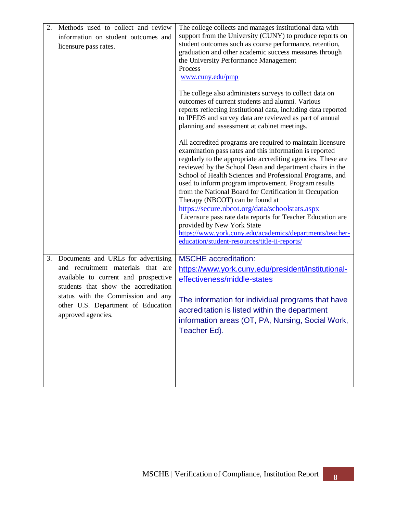| 2. | Methods used to collect and review<br>information on student outcomes and<br>licensure pass rates.                                                                                                                                                         | The college collects and manages institutional data with<br>support from the University (CUNY) to produce reports on<br>student outcomes such as course performance, retention,<br>graduation and other academic success measures through<br>the University Performance Management<br>Process<br>www.cuny.edu/pmp<br>The college also administers surveys to collect data on<br>outcomes of current students and alumni. Various<br>reports reflecting institutional data, including data reported<br>to IPEDS and survey data are reviewed as part of annual<br>planning and assessment at cabinet meetings.<br>All accredited programs are required to maintain licensure |
|----|------------------------------------------------------------------------------------------------------------------------------------------------------------------------------------------------------------------------------------------------------------|-----------------------------------------------------------------------------------------------------------------------------------------------------------------------------------------------------------------------------------------------------------------------------------------------------------------------------------------------------------------------------------------------------------------------------------------------------------------------------------------------------------------------------------------------------------------------------------------------------------------------------------------------------------------------------|
|    |                                                                                                                                                                                                                                                            | examination pass rates and this information is reported<br>regularly to the appropriate accrediting agencies. These are<br>reviewed by the School Dean and department chairs in the<br>School of Health Sciences and Professional Programs, and<br>used to inform program improvement. Program results<br>from the National Board for Certification in Occupation<br>Therapy (NBCOT) can be found at<br>https://secure.nbcot.org/data/schoolstats.aspx<br>Licensure pass rate data reports for Teacher Education are<br>provided by New York State<br>https://www.york.cuny.edu/academics/departments/teacher-<br>education/student-resources/title-ii-reports/             |
| 3. | Documents and URLs for advertising<br>and recruitment materials that are<br>available to current and prospective<br>students that show the accreditation<br>status with the Commission and any<br>other U.S. Department of Education<br>approved agencies. | <b>MSCHE</b> accreditation:<br>https://www.york.cuny.edu/president/institutional-<br>effectiveness/middle-states<br>The information for individual programs that have<br>accreditation is listed within the department<br>information areas (OT, PA, Nursing, Social Work,<br>Teacher Ed).                                                                                                                                                                                                                                                                                                                                                                                  |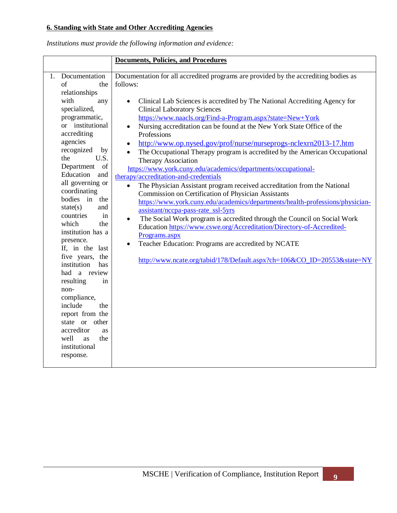# **6. Standing with State and Other Accrediting Agencies**

| Documentation for all accredited programs are provided by the accrediting bodies as<br>Documentation<br>1.<br>follows:<br>of<br>the<br>relationships<br>with<br>Clinical Lab Sciences is accredited by The National Accrediting Agency for<br>any<br>$\bullet$<br>specialized,<br><b>Clinical Laboratory Sciences</b><br>https://www.naacls.org/Find-a-Program.aspx?state=New+York<br>programmatic,<br>or institutional<br>Nursing accreditation can be found at the New York State Office of the<br>accrediting<br>Professions<br>agencies<br>http://www.op.nysed.gov/prof/nurse/nurseprogs-nclexrn2013-17.htm<br>$\bullet$<br>recognized<br>by<br>The Occupational Therapy program is accredited by the American Occupational<br>U.S.<br>the<br>Therapy Association<br>Department<br>of<br>https://www.york.cuny.edu/academics/departments/occupational-<br>Education<br>and<br>therapy/accreditation-and-credentials<br>all governing or<br>The Physician Assistant program received accreditation from the National<br>$\bullet$<br>coordinating<br>Commission on Certification of Physician Assistants<br>bodies in the<br>https://www.york.cuny.edu/academics/departments/health-professions/physician-<br>state(s)<br>and<br>assistant/nccpa-pass-rate_ssl-5yrs<br>countries<br>in<br>The Social Work program is accredited through the Council on Social Work<br>$\bullet$<br>which<br>the<br>Education https://www.cswe.org/Accreditation/Directory-of-Accredited-<br>institution has a<br>Programs.aspx<br>presence.<br>Teacher Education: Programs are accredited by NCATE<br>If, in the last<br>five years,<br>the<br>http://www.ncate.org/tabid/178/Default.aspx?ch=106&CO_ID=20553&state=NY<br>institution<br>has<br>had a review<br>resulting<br>in<br>non-<br>compliance,<br>include<br>the<br>report from the<br>state or other<br>accreditor<br>as<br>well<br>the<br>as<br>institutional<br>response. |
|-------------------------------------------------------------------------------------------------------------------------------------------------------------------------------------------------------------------------------------------------------------------------------------------------------------------------------------------------------------------------------------------------------------------------------------------------------------------------------------------------------------------------------------------------------------------------------------------------------------------------------------------------------------------------------------------------------------------------------------------------------------------------------------------------------------------------------------------------------------------------------------------------------------------------------------------------------------------------------------------------------------------------------------------------------------------------------------------------------------------------------------------------------------------------------------------------------------------------------------------------------------------------------------------------------------------------------------------------------------------------------------------------------------------------------------------------------------------------------------------------------------------------------------------------------------------------------------------------------------------------------------------------------------------------------------------------------------------------------------------------------------------------------------------------------------------------------------------------------------------------------------------------------------------------|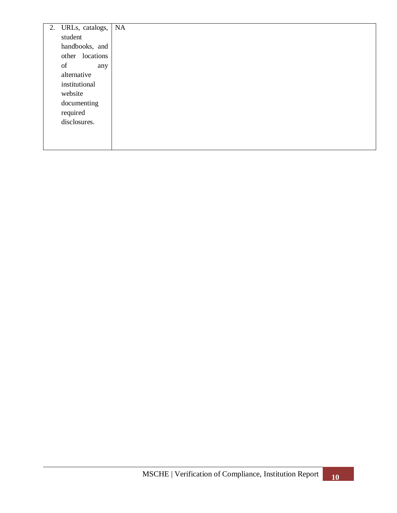| 2. URLs, catalogs, | <b>NA</b> |
|--------------------|-----------|
| student            |           |
| handbooks, and     |           |
| other locations    |           |
| of<br>any          |           |
| alternative        |           |
| institutional      |           |
| website            |           |
| documenting        |           |
| required           |           |
| disclosures.       |           |
|                    |           |
|                    |           |
|                    |           |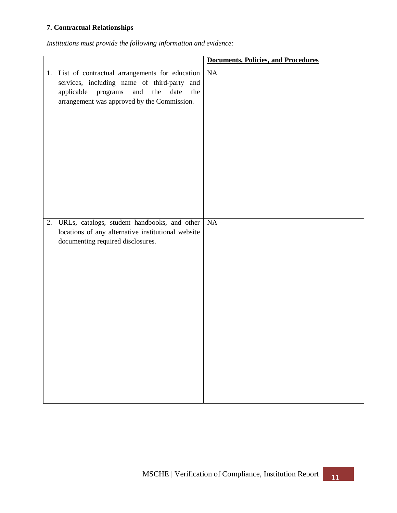### **7. Contractual Relationships**

|                                                                                                                                                                                                        | <b>Documents, Policies, and Procedures</b> |
|--------------------------------------------------------------------------------------------------------------------------------------------------------------------------------------------------------|--------------------------------------------|
| 1. List of contractual arrangements for education<br>services, including name of third-party and<br>and<br>the<br>date<br>applicable<br>programs<br>the<br>arrangement was approved by the Commission. | <b>NA</b>                                  |
| 2. URLs, catalogs, student handbooks, and other                                                                                                                                                        | <b>NA</b>                                  |
| locations of any alternative institutional website<br>documenting required disclosures.                                                                                                                |                                            |
|                                                                                                                                                                                                        |                                            |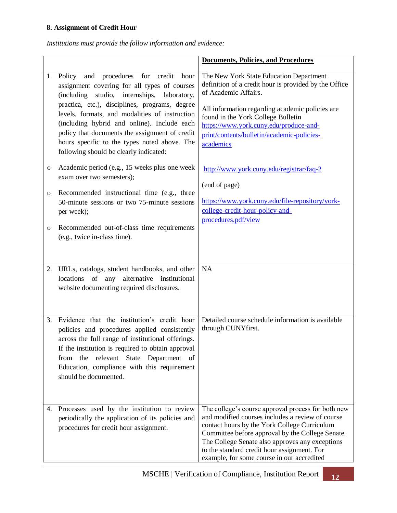### **8. Assignment of Credit Hour**

|                    |                                                                                                                                                                                                                                                                                                                                                                                                                                              | <b>Documents, Policies, and Procedures</b>                                                                                                                                                                                                                                                                                                                 |
|--------------------|----------------------------------------------------------------------------------------------------------------------------------------------------------------------------------------------------------------------------------------------------------------------------------------------------------------------------------------------------------------------------------------------------------------------------------------------|------------------------------------------------------------------------------------------------------------------------------------------------------------------------------------------------------------------------------------------------------------------------------------------------------------------------------------------------------------|
|                    | 1. Policy and procedures for credit<br>hour<br>assignment covering for all types of courses<br>(including studio, internships,<br>laboratory,<br>practica, etc.), disciplines, programs, degree<br>levels, formats, and modalities of instruction<br>(including hybrid and online). Include each<br>policy that documents the assignment of credit<br>hours specific to the types noted above. The<br>following should be clearly indicated: | The New York State Education Department<br>definition of a credit hour is provided by the Office<br>of Academic Affairs.<br>All information regarding academic policies are<br>found in the York College Bulletin<br>https://www.york.cuny.edu/produce-and-<br>print/contents/bulletin/academic-policies-<br>academics                                     |
| O                  | Academic period (e.g., 15 weeks plus one week<br>exam over two semesters);                                                                                                                                                                                                                                                                                                                                                                   | http://www.york.cuny.edu/registrar/faq-2<br>(end of page)                                                                                                                                                                                                                                                                                                  |
| $\circ$<br>$\circ$ | Recommended instructional time (e.g., three<br>50-minute sessions or two 75-minute sessions<br>per week);<br>Recommended out-of-class time requirements<br>(e.g., twice in-class time).                                                                                                                                                                                                                                                      | https://www.york.cuny.edu/file-repository/york-<br>college-credit-hour-policy-and-<br>procedures.pdf/view                                                                                                                                                                                                                                                  |
|                    |                                                                                                                                                                                                                                                                                                                                                                                                                                              |                                                                                                                                                                                                                                                                                                                                                            |
| 2.                 | URLs, catalogs, student handbooks, and other<br>of any alternative institutional<br>locations<br>website documenting required disclosures.                                                                                                                                                                                                                                                                                                   | <b>NA</b>                                                                                                                                                                                                                                                                                                                                                  |
| 3.                 | Evidence that the institution's credit hour<br>policies and procedures applied consistently<br>across the full range of institutional offerings.<br>If the institution is required to obtain approval<br>the relevant State Department of<br>from<br>Education, compliance with this requirement<br>should be documented.                                                                                                                    | Detailed course schedule information is available<br>through CUNYfirst.                                                                                                                                                                                                                                                                                    |
| 4.                 | Processes used by the institution to review<br>periodically the application of its policies and<br>procedures for credit hour assignment.                                                                                                                                                                                                                                                                                                    | The college's course approval process for both new<br>and modified courses includes a review of course<br>contact hours by the York College Curriculum<br>Committee before approval by the College Senate.<br>The College Senate also approves any exceptions<br>to the standard credit hour assignment. For<br>example, for some course in our accredited |